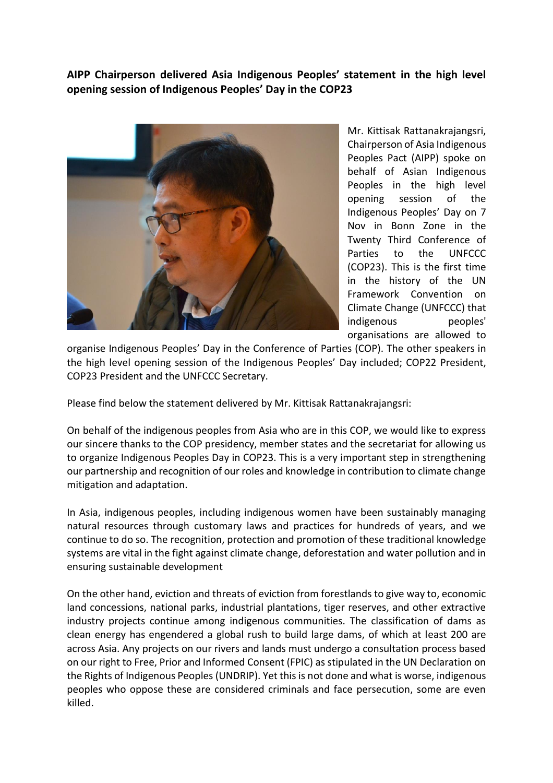**AIPP Chairperson delivered Asia Indigenous Peoples' statement in the high level opening session of Indigenous Peoples' Day in the COP23**



Mr. Kittisak Rattanakrajangsri, Chairperson of Asia Indigenous Peoples Pact (AIPP) spoke on behalf of Asian Indigenous Peoples in the high level opening session of the Indigenous Peoples' Day on 7 Nov in Bonn Zone in the Twenty Third Conference of Parties to the UNFCCC (COP23). This is the first time in the history of the UN Framework Convention on Climate Change (UNFCCC) that indigenous peoples' organisations are allowed to

organise Indigenous Peoples' Day in the Conference of Parties (COP). The other speakers in the high level opening session of the Indigenous Peoples' Day included; COP22 President, COP23 President and the UNFCCC Secretary.

Please find below the statement delivered by Mr. Kittisak Rattanakrajangsri:

On behalf of the indigenous peoples from Asia who are in this COP, we would like to express our sincere thanks to the COP presidency, member states and the secretariat for allowing us to organize Indigenous Peoples Day in COP23. This is a very important step in strengthening our partnership and recognition of our roles and knowledge in contribution to climate change mitigation and adaptation.

In Asia, indigenous peoples, including indigenous women have been sustainably managing natural resources through customary laws and practices for hundreds of years, and we continue to do so. The recognition, protection and promotion of these traditional knowledge systems are vital in the fight against climate change, deforestation and water pollution and in ensuring sustainable development

On the other hand, eviction and threats of eviction from forestlands to give way to, economic land concessions, national parks, industrial plantations, tiger reserves, and other extractive industry projects continue among indigenous communities. The classification of dams as clean energy has engendered a global rush to build large dams, of which at least 200 are across Asia. Any projects on our rivers and lands must undergo a consultation process based on our right to Free, Prior and Informed Consent (FPIC) as stipulated in the UN Declaration on the Rights of Indigenous Peoples (UNDRIP). Yet this is not done and what is worse, indigenous peoples who oppose these are considered criminals and face persecution, some are even killed.